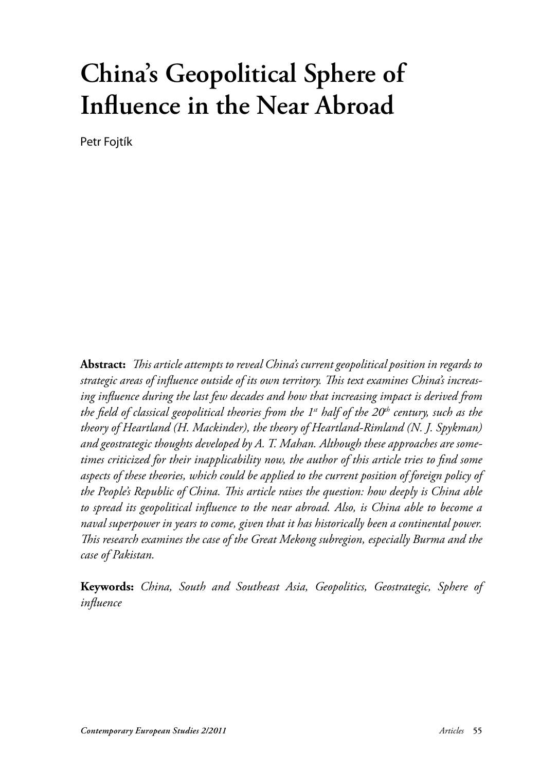# **China's Geopolitical Sphere of Infl uence in the Near Abroad**

Petr Fojtík

Abstract: This article attempts to reveal China's current geopolitical position in regards to strategic areas of influence outside of its own territory. This text examines China's increas*ing infl uence during the last few decades and how that increasing impact is derived from the field of classical geopolitical theories from the 1<sup>st</sup> half of the 20<sup>th</sup> century, such as the theory of Heartland (H. Mackinder), the theory of Heartland-Rimland (N. J. Spykman) and geostrategic thoughts developed by A. T. Mahan. Although these approaches are some*times criticized for their inapplicability now, the author of this article tries to find some *aspects of these theories, which could be applied to the current position of foreign policy of the People's Republic of China. This article raises the question: how deeply is China able* to spread its geopolitical influence to the near abroad. Also, is China able to become a *naval superpower in years to come, given that it has historically been a continental power. Th is research examines the case of the Great Mekong subregion, especially Burma and the case of Pakistan.* 

**Keywords:** *China, South and Southeast Asia, Geopolitics, Geostrategic, Sphere of infl uence*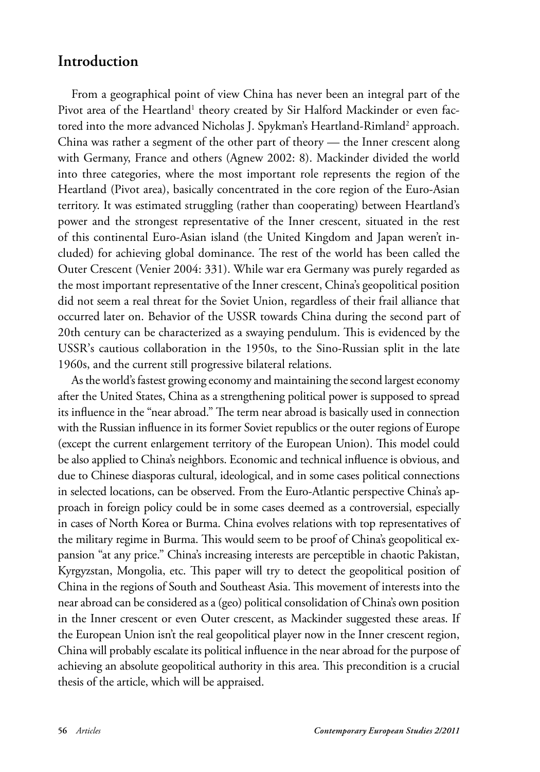## **Introduction**

From a geographical point of view China has never been an integral part of the Pivot area of the Heartland<sup>1</sup> theory created by Sir Halford Mackinder or even factored into the more advanced Nicholas J. Spykman's Heartland-Rimland<sup>2</sup> approach. China was rather a segment of the other part of theory — the Inner crescent along with Germany, France and others (Agnew 2002: 8). Mackinder divided the world into three categories, where the most important role represents the region of the Heartland (Pivot area), basically concentrated in the core region of the Euro-Asian territory. It was estimated struggling (rather than cooperating) between Heartland's power and the strongest representative of the Inner crescent, situated in the rest of this continental Euro-Asian island (the United Kingdom and Japan weren't included) for achieving global dominance. The rest of the world has been called the Outer Crescent (Venier 2004: 331). While war era Germany was purely regarded as the most important representative of the Inner crescent, China's geopolitical position did not seem a real threat for the Soviet Union, regardless of their frail alliance that occurred later on. Behavior of the USSR towards China during the second part of 20th century can be characterized as a swaying pendulum. This is evidenced by the USSR's cautious collaboration in the 1950s, to the Sino-Russian split in the late 1960s, and the current still progressive bilateral relations.

As the world's fastest growing economy and maintaining the second largest economy after the United States, China as a strengthening political power is supposed to spread its influence in the "near abroad." The term near abroad is basically used in connection with the Russian influence in its former Soviet republics or the outer regions of Europe (except the current enlargement territory of the European Union). This model could be also applied to China's neighbors. Economic and technical influence is obvious, and due to Chinese diasporas cultural, ideological, and in some cases political connections in selected locations, can be observed. From the Euro-Atlantic perspective China's approach in foreign policy could be in some cases deemed as a controversial, especially in cases of North Korea or Burma. China evolves relations with top representatives of the military regime in Burma. This would seem to be proof of China's geopolitical expansion "at any price." China's increasing interests are perceptible in chaotic Pakistan, Kyrgyzstan, Mongolia, etc. This paper will try to detect the geopolitical position of China in the regions of South and Southeast Asia. This movement of interests into the near abroad can be considered as a (geo) political consolidation of China's own position in the Inner crescent or even Outer crescent, as Mackinder suggested these areas. If the European Union isn't the real geopolitical player now in the Inner crescent region, China will probably escalate its political influence in the near abroad for the purpose of achieving an absolute geopolitical authority in this area. This precondition is a crucial thesis of the article, which will be appraised.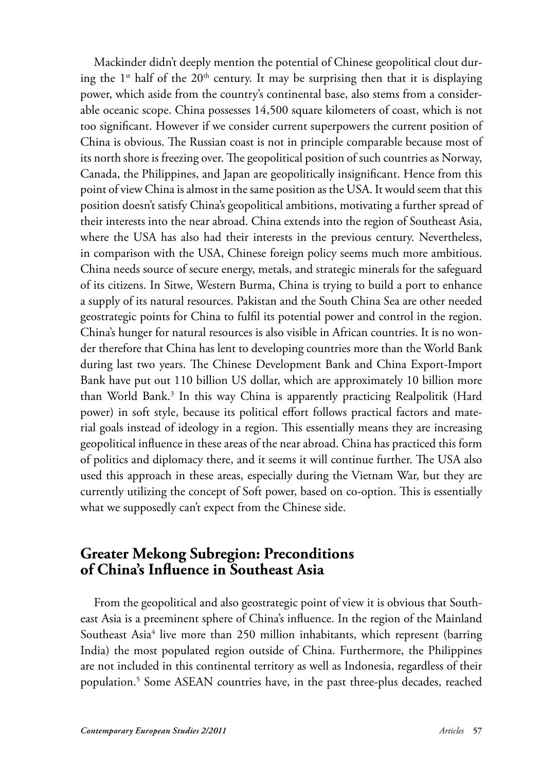Mackinder didn't deeply mention the potential of Chinese geopolitical clout during the  $1^{st}$  half of the  $20^{th}$  century. It may be surprising then that it is displaying power, which aside from the country's continental base, also stems from a considerable oceanic scope. China possesses 14,500 square kilometers of coast, which is not too significant. However if we consider current superpowers the current position of China is obvious. The Russian coast is not in principle comparable because most of its north shore is freezing over. The geopolitical position of such countries as Norway, Canada, the Philippines, and Japan are geopolitically insignificant. Hence from this point of view China is almost in the same position as the USA. It would seem that this position doesn't satisfy China's geopolitical ambitions, motivating a further spread of their interests into the near abroad. China extends into the region of Southeast Asia, where the USA has also had their interests in the previous century. Nevertheless, in comparison with the USA, Chinese foreign policy seems much more ambitious. China needs source of secure energy, metals, and strategic minerals for the safeguard of its citizens. In Sitwe, Western Burma, China is trying to build a port to enhance a supply of its natural resources. Pakistan and the South China Sea are other needed geostrategic points for China to fulfil its potential power and control in the region. China's hunger for natural resources is also visible in African countries. It is no wonder therefore that China has lent to developing countries more than the World Bank during last two years. The Chinese Development Bank and China Export-Import Bank have put out 110 billion US dollar, which are approximately 10 billion more than World Bank.<sup>3</sup> In this way China is apparently practicing Realpolitik (Hard power) in soft style, because its political effort follows practical factors and material goals instead of ideology in a region. This essentially means they are increasing geopolitical influence in these areas of the near abroad. China has practiced this form of politics and diplomacy there, and it seems it will continue further. The USA also used this approach in these areas, especially during the Vietnam War, but they are currently utilizing the concept of Soft power, based on co-option. This is essentially what we supposedly can't expect from the Chinese side.

## **Greater Mekong Subregion: Preconditions of China's Infl uence in Southeast Asia**

From the geopolitical and also geostrategic point of view it is obvious that Southeast Asia is a preeminent sphere of China's influence. In the region of the Mainland Southeast Asia<sup>4</sup> live more than 250 million inhabitants, which represent (barring India) the most populated region outside of China. Furthermore, the Philippines are not included in this continental territory as well as Indonesia, regardless of their population.5 Some ASEAN countries have, in the past three-plus decades, reached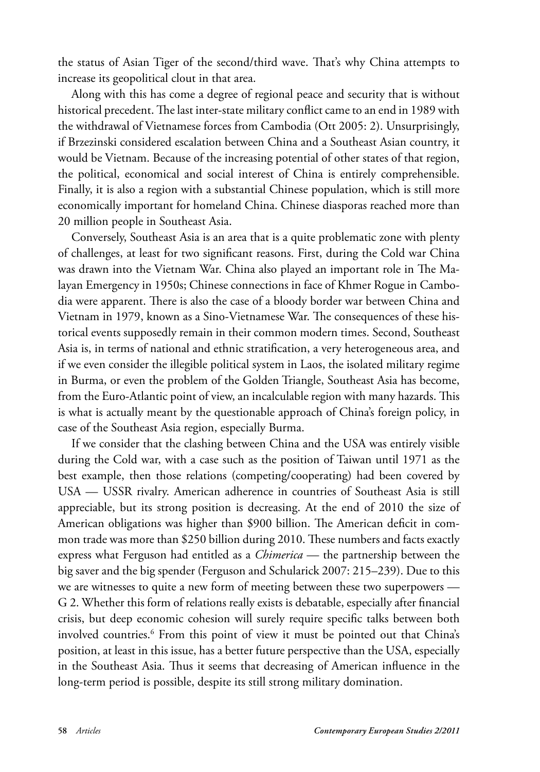the status of Asian Tiger of the second/third wave. That's why China attempts to increase its geopolitical clout in that area.

Along with this has come a degree of regional peace and security that is without historical precedent. The last inter-state military conflict came to an end in 1989 with the withdrawal of Vietnamese forces from Cambodia (Ott 2005: 2). Unsurprisingly, if Brzezinski considered escalation between China and a Southeast Asian country, it would be Vietnam. Because of the increasing potential of other states of that region, the political, economical and social interest of China is entirely comprehensible. Finally, it is also a region with a substantial Chinese population, which is still more economically important for homeland China. Chinese diasporas reached more than 20 million people in Southeast Asia.

Conversely, Southeast Asia is an area that is a quite problematic zone with plenty of challenges, at least for two significant reasons. First, during the Cold war China was drawn into the Vietnam War. China also played an important role in The Malayan Emergency in 1950s; Chinese connections in face of Khmer Rogue in Cambodia were apparent. There is also the case of a bloody border war between China and Vietnam in 1979, known as a Sino-Vietnamese War. The consequences of these historical events supposedly remain in their common modern times. Second, Southeast Asia is, in terms of national and ethnic stratification, a very heterogeneous area, and if we even consider the illegible political system in Laos, the isolated military regime in Burma, or even the problem of the Golden Triangle, Southeast Asia has become, from the Euro-Atlantic point of view, an incalculable region with many hazards. This is what is actually meant by the questionable approach of China's foreign policy, in case of the Southeast Asia region, especially Burma.

If we consider that the clashing between China and the USA was entirely visible during the Cold war, with a case such as the position of Taiwan until 1971 as the best example, then those relations (competing/cooperating) had been covered by USA — USSR rivalry. American adherence in countries of Southeast Asia is still appreciable, but its strong position is decreasing. At the end of 2010 the size of American obligations was higher than \$900 billion. The American deficit in common trade was more than \$250 billion during 2010. These numbers and facts exactly express what Ferguson had entitled as a *Chimerica* — the partnership between the big saver and the big spender (Ferguson and Schularick 2007: 215–239). Due to this we are witnesses to quite a new form of meeting between these two superpowers — G 2. Whether this form of relations really exists is debatable, especially after financial crisis, but deep economic cohesion will surely require specific talks between both involved countries.6 From this point of view it must be pointed out that China's position, at least in this issue, has a better future perspective than the USA, especially in the Southeast Asia. Thus it seems that decreasing of American influence in the long-term period is possible, despite its still strong military domination.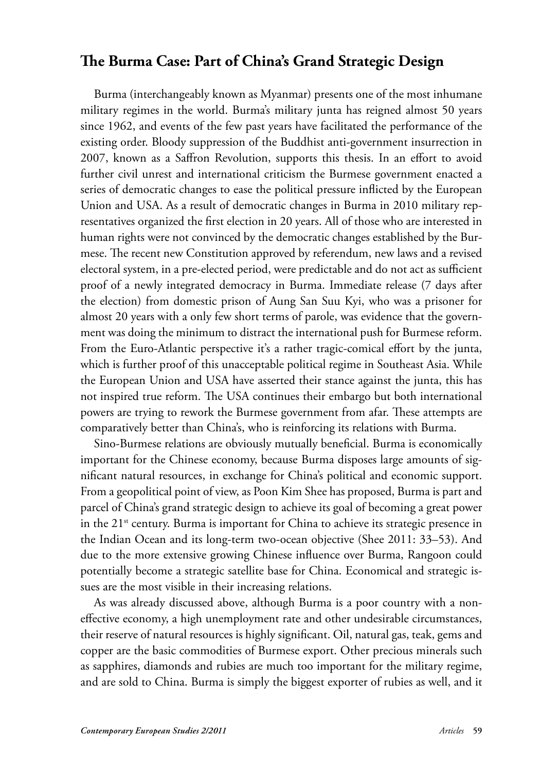## The Burma Case: Part of China's Grand Strategic Design

Burma (interchangeably known as Myanmar) presents one of the most inhumane military regimes in the world. Burma's military junta has reigned almost 50 years since 1962, and events of the few past years have facilitated the performance of the existing order. Bloody suppression of the Buddhist anti-government insurrection in 2007, known as a Saffron Revolution, supports this thesis. In an effort to avoid further civil unrest and international criticism the Burmese government enacted a series of democratic changes to ease the political pressure inflicted by the European Union and USA. As a result of democratic changes in Burma in 2010 military representatives organized the first election in 20 years. All of those who are interested in human rights were not convinced by the democratic changes established by the Burmese. The recent new Constitution approved by referendum, new laws and a revised electoral system, in a pre-elected period, were predictable and do not act as sufficient proof of a newly integrated democracy in Burma. Immediate release (7 days after the election) from domestic prison of Aung San Suu Kyi, who was a prisoner for almost 20 years with a only few short terms of parole, was evidence that the government was doing the minimum to distract the international push for Burmese reform. From the Euro-Atlantic perspective it's a rather tragic-comical effort by the junta, which is further proof of this unacceptable political regime in Southeast Asia. While the European Union and USA have asserted their stance against the junta, this has not inspired true reform. The USA continues their embargo but both international powers are trying to rework the Burmese government from afar. These attempts are comparatively better than China's, who is reinforcing its relations with Burma.

Sino-Burmese relations are obviously mutually beneficial. Burma is economically important for the Chinese economy, because Burma disposes large amounts of significant natural resources, in exchange for China's political and economic support. From a geopolitical point of view, as Poon Kim Shee has proposed, Burma is part and parcel of China's grand strategic design to achieve its goal of becoming a great power in the 21<sup>st</sup> century. Burma is important for China to achieve its strategic presence in the Indian Ocean and its long-term two-ocean objective (Shee 2011: 33–53). And due to the more extensive growing Chinese influence over Burma, Rangoon could potentially become a strategic satellite base for China. Economical and strategic issues are the most visible in their increasing relations.

As was already discussed above, although Burma is a poor country with a noneffective economy, a high unemployment rate and other undesirable circumstances, their reserve of natural resources is highly significant. Oil, natural gas, teak, gems and copper are the basic commodities of Burmese export. Other precious minerals such as sapphires, diamonds and rubies are much too important for the military regime, and are sold to China. Burma is simply the biggest exporter of rubies as well, and it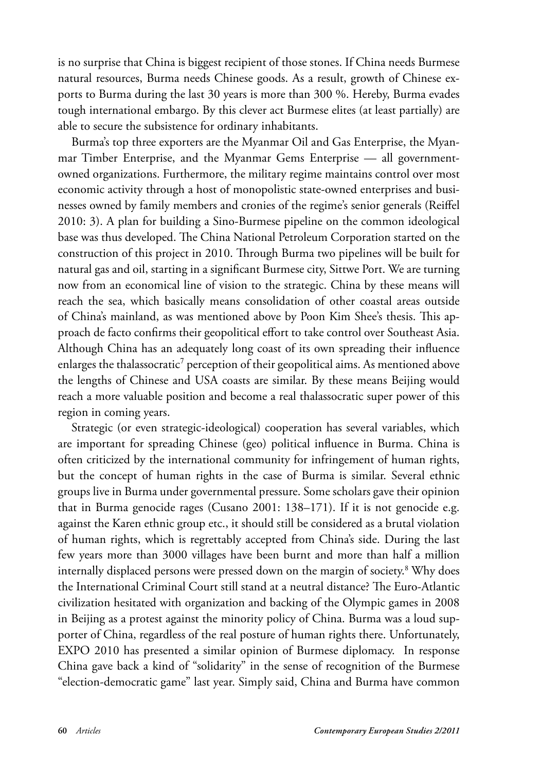is no surprise that China is biggest recipient of those stones. If China needs Burmese natural resources, Burma needs Chinese goods. As a result, growth of Chinese exports to Burma during the last 30 years is more than 300 %. Hereby, Burma evades tough international embargo. By this clever act Burmese elites (at least partially) are able to secure the subsistence for ordinary inhabitants.

Burma's top three exporters are the Myanmar Oil and Gas Enterprise, the Myanmar Timber Enterprise, and the Myanmar Gems Enterprise — all governmentowned organizations. Furthermore, the military regime maintains control over most economic activity through a host of monopolistic state-owned enterprises and businesses owned by family members and cronies of the regime's senior generals (Reiffel 2010: 3). A plan for building a Sino-Burmese pipeline on the common ideological base was thus developed. The China National Petroleum Corporation started on the construction of this project in 2010. Th rough Burma two pipelines will be built for natural gas and oil, starting in a significant Burmese city, Sittwe Port. We are turning now from an economical line of vision to the strategic. China by these means will reach the sea, which basically means consolidation of other coastal areas outside of China's mainland, as was mentioned above by Poon Kim Shee's thesis. This approach de facto confirms their geopolitical effort to take control over Southeast Asia. Although China has an adequately long coast of its own spreading their influence enlarges the thalassocratic<sup>7</sup> perception of their geopolitical aims. As mentioned above the lengths of Chinese and USA coasts are similar. By these means Beijing would reach a more valuable position and become a real thalassocratic super power of this region in coming years.

Strategic (or even strategic-ideological) cooperation has several variables, which are important for spreading Chinese (geo) political influence in Burma. China is often criticized by the international community for infringement of human rights, but the concept of human rights in the case of Burma is similar. Several ethnic groups live in Burma under governmental pressure. Some scholars gave their opinion that in Burma genocide rages (Cusano 2001: 138–171). If it is not genocide e.g. against the Karen ethnic group etc., it should still be considered as a brutal violation of human rights, which is regrettably accepted from China's side. During the last few years more than 3000 villages have been burnt and more than half a million internally displaced persons were pressed down on the margin of society.<sup>8</sup> Why does the International Criminal Court still stand at a neutral distance? The Euro-Atlantic civilization hesitated with organization and backing of the Olympic games in 2008 in Beijing as a protest against the minority policy of China. Burma was a loud supporter of China, regardless of the real posture of human rights there. Unfortunately, EXPO 2010 has presented a similar opinion of Burmese diplomacy. In response China gave back a kind of "solidarity" in the sense of recognition of the Burmese "election-democratic game" last year. Simply said, China and Burma have common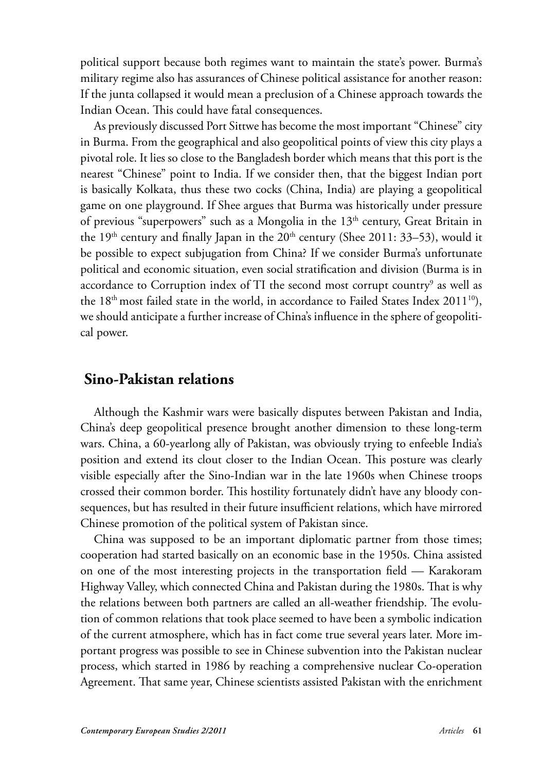political support because both regimes want to maintain the state's power. Burma's military regime also has assurances of Chinese political assistance for another reason: If the junta collapsed it would mean a preclusion of a Chinese approach towards the Indian Ocean. This could have fatal consequences.

As previously discussed Port Sittwe has become the most important "Chinese" city in Burma. From the geographical and also geopolitical points of view this city plays a pivotal role. It lies so close to the Bangladesh border which means that this port is the nearest "Chinese" point to India. If we consider then, that the biggest Indian port is basically Kolkata, thus these two cocks (China, India) are playing a geopolitical game on one playground. If Shee argues that Burma was historically under pressure of previous "superpowers" such as a Mongolia in the  $13<sup>th</sup>$  century, Great Britain in the 19<sup>th</sup> century and finally Japan in the  $20<sup>th</sup>$  century (Shee 2011: 33–53), would it be possible to expect subjugation from China? If we consider Burma's unfortunate political and economic situation, even social stratification and division (Burma is in accordance to Corruption index of TI the second most corrupt country $^9$  as well as the  $18<sup>th</sup>$  most failed state in the world, in accordance to Failed States Index 2011<sup>10</sup>), we should anticipate a further increase of China's influence in the sphere of geopolitical power.

## **Sino-Pakistan relations**

Although the Kashmir wars were basically disputes between Pakistan and India, China's deep geopolitical presence brought another dimension to these long-term wars. China, a 60-yearlong ally of Pakistan, was obviously trying to enfeeble India's position and extend its clout closer to the Indian Ocean. This posture was clearly visible especially after the Sino-Indian war in the late 1960s when Chinese troops crossed their common border. This hostility fortunately didn't have any bloody consequences, but has resulted in their future insufficient relations, which have mirrored Chinese promotion of the political system of Pakistan since.

China was supposed to be an important diplomatic partner from those times; cooperation had started basically on an economic base in the 1950s. China assisted on one of the most interesting projects in the transportation field — Karakoram Highway Valley, which connected China and Pakistan during the 1980s. That is why the relations between both partners are called an all-weather friendship. The evolution of common relations that took place seemed to have been a symbolic indication of the current atmosphere, which has in fact come true several years later. More important progress was possible to see in Chinese subvention into the Pakistan nuclear process, which started in 1986 by reaching a comprehensive nuclear Co-operation Agreement. That same year, Chinese scientists assisted Pakistan with the enrichment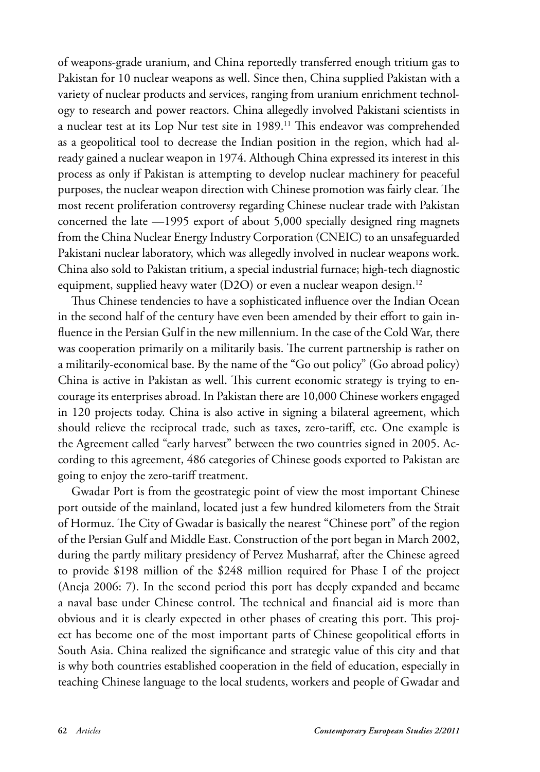of weapons-grade uranium, and China reportedly transferred enough tritium gas to Pakistan for 10 nuclear weapons as well. Since then, China supplied Pakistan with a variety of nuclear products and services, ranging from uranium enrichment technology to research and power reactors. China allegedly involved Pakistani scientists in a nuclear test at its Lop Nur test site in 1989.<sup>11</sup> This endeavor was comprehended as a geopolitical tool to decrease the Indian position in the region, which had already gained a nuclear weapon in 1974. Although China expressed its interest in this process as only if Pakistan is attempting to develop nuclear machinery for peaceful purposes, the nuclear weapon direction with Chinese promotion was fairly clear. The most recent proliferation controversy regarding Chinese nuclear trade with Pakistan concerned the late —1995 export of about 5,000 specially designed ring magnets from the China Nuclear Energy Industry Corporation (CNEIC) to an unsafeguarded Pakistani nuclear laboratory, which was allegedly involved in nuclear weapons work. China also sold to Pakistan tritium, a special industrial furnace; high-tech diagnostic equipment, supplied heavy water (D2O) or even a nuclear weapon design.<sup>12</sup>

Thus Chinese tendencies to have a sophisticated influence over the Indian Ocean in the second half of the century have even been amended by their effort to gain influence in the Persian Gulf in the new millennium. In the case of the Cold War, there was cooperation primarily on a militarily basis. The current partnership is rather on a militarily-economical base. By the name of the "Go out policy" (Go abroad policy) China is active in Pakistan as well. This current economic strategy is trying to encourage its enterprises abroad. In Pakistan there are 10,000 Chinese workers engaged in 120 projects today. China is also active in signing a bilateral agreement, which should relieve the reciprocal trade, such as taxes, zero-tariff , etc. One example is the Agreement called "early harvest" between the two countries signed in 2005. According to this agreement, 486 categories of Chinese goods exported to Pakistan are going to enjoy the zero-tariff treatment.

Gwadar Port is from the geostrategic point of view the most important Chinese port outside of the mainland, located just a few hundred kilometers from the Strait of Hormuz. The City of Gwadar is basically the nearest "Chinese port" of the region of the Persian Gulf and Middle East. Construction of the port began in March 2002, during the partly military presidency of Pervez Musharraf, after the Chinese agreed to provide \$198 million of the \$248 million required for Phase I of the project (Aneja 2006: 7). In the second period this port has deeply expanded and became a naval base under Chinese control. The technical and financial aid is more than obvious and it is clearly expected in other phases of creating this port. This project has become one of the most important parts of Chinese geopolitical efforts in South Asia. China realized the significance and strategic value of this city and that is why both countries established cooperation in the field of education, especially in teaching Chinese language to the local students, workers and people of Gwadar and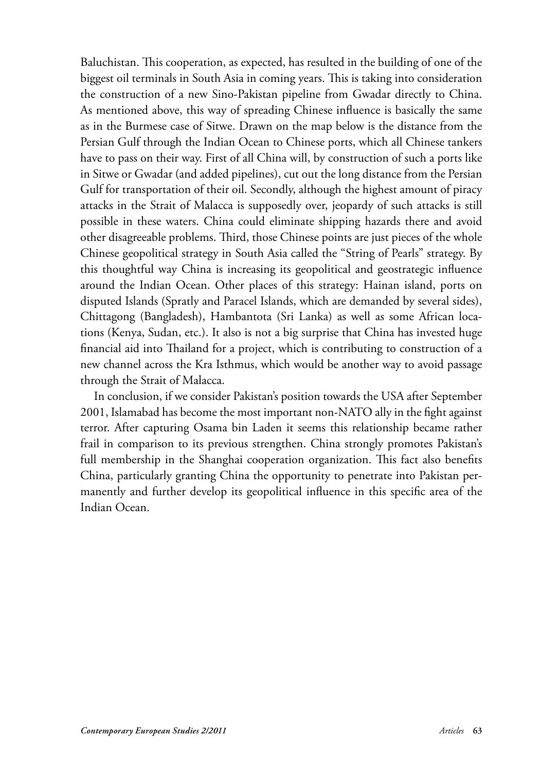Baluchistan. This cooperation, as expected, has resulted in the building of one of the biggest oil terminals in South Asia in coming years. This is taking into consideration the construction of a new Sino-Pakistan pipeline from Gwadar directly to China. As mentioned above, this way of spreading Chinese influence is basically the same as in the Burmese case of Sitwe. Drawn on the map below is the distance from the Persian Gulf through the Indian Ocean to Chinese ports, which all Chinese tankers have to pass on their way. First of all China will, by construction of such a ports like in Sitwe or Gwadar (and added pipelines), cut out the long distance from the Persian Gulf for transportation of their oil. Secondly, although the highest amount of piracy attacks in the Strait of Malacca is supposedly over, jeopardy of such attacks is still possible in these waters. China could eliminate shipping hazards there and avoid other disagreeable problems. Third, those Chinese points are just pieces of the whole Chinese geopolitical strategy in South Asia called the "String of Pearls" strategy. By this thoughtful way China is increasing its geopolitical and geostrategic influence around the Indian Ocean. Other places of this strategy: Hainan island, ports on disputed Islands (Spratly and Paracel Islands, which are demanded by several sides), Chittagong (Bangladesh), Hambantota (Sri Lanka) as well as some African locations (Kenya, Sudan, etc.). It also is not a big surprise that China has invested huge financial aid into Thailand for a project, which is contributing to construction of a new channel across the Kra Isthmus, which would be another way to avoid passage through the Strait of Malacca.

In conclusion, if we consider Pakistan's position towards the USA after September 2001, Islamabad has become the most important non-NATO ally in the fight against terror. After capturing Osama bin Laden it seems this relationship became rather frail in comparison to its previous strengthen. China strongly promotes Pakistan's full membership in the Shanghai cooperation organization. This fact also benefits China, particularly granting China the opportunity to penetrate into Pakistan permanently and further develop its geopolitical influence in this specific area of the Indian Ocean.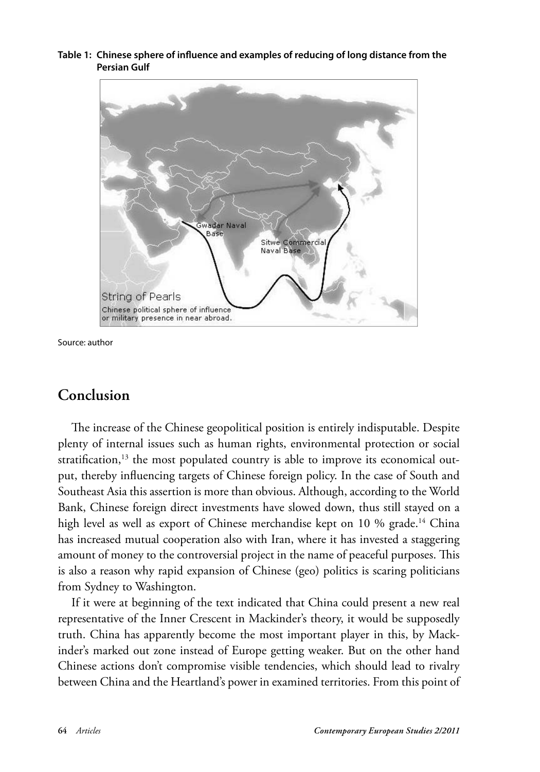Table 1: Chinese sphere of influence and examples of reducing of long distance from the **Persian Gulf** 



Source: author

## **Conclusion**

The increase of the Chinese geopolitical position is entirely indisputable. Despite plenty of internal issues such as human rights, environmental protection or social stratification,<sup>13</sup> the most populated country is able to improve its economical output, thereby influencing targets of Chinese foreign policy. In the case of South and Southeast Asia this assertion is more than obvious. Although, according to the World Bank, Chinese foreign direct investments have slowed down, thus still stayed on a high level as well as export of Chinese merchandise kept on 10 % grade.<sup>14</sup> China has increased mutual cooperation also with Iran, where it has invested a staggering amount of money to the controversial project in the name of peaceful purposes. This is also a reason why rapid expansion of Chinese (geo) politics is scaring politicians from Sydney to Washington.

If it were at beginning of the text indicated that China could present a new real representative of the Inner Crescent in Mackinder's theory, it would be supposedly truth. China has apparently become the most important player in this, by Mackinder's marked out zone instead of Europe getting weaker. But on the other hand Chinese actions don't compromise visible tendencies, which should lead to rivalry between China and the Heartland's power in examined territories. From this point of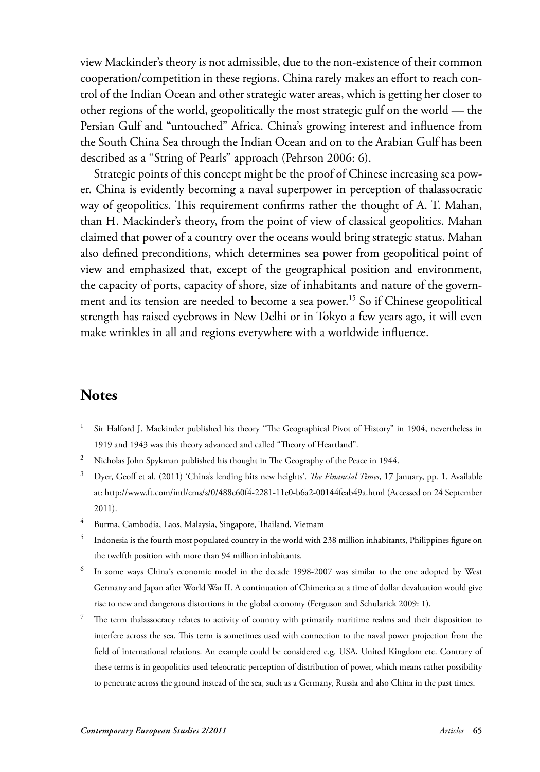view Mackinder's theory is not admissible, due to the non-existence of their common cooperation/competition in these regions. China rarely makes an effort to reach control of the Indian Ocean and other strategic water areas, which is getting her closer to other regions of the world, geopolitically the most strategic gulf on the world — the Persian Gulf and "untouched" Africa. China's growing interest and influence from the South China Sea through the Indian Ocean and on to the Arabian Gulf has been described as a "String of Pearls" approach (Pehrson 2006: 6).

Strategic points of this concept might be the proof of Chinese increasing sea power. China is evidently becoming a naval superpower in perception of thalassocratic way of geopolitics. This requirement confirms rather the thought of A. T. Mahan, than H. Mackinder's theory, from the point of view of classical geopolitics. Mahan claimed that power of a country over the oceans would bring strategic status. Mahan also defined preconditions, which determines sea power from geopolitical point of view and emphasized that, except of the geographical position and environment, the capacity of ports, capacity of shore, size of inhabitants and nature of the government and its tension are needed to become a sea power.15 So if Chinese geopolitical strength has raised eyebrows in New Delhi or in Tokyo a few years ago, it will even make wrinkles in all and regions everywhere with a worldwide influence.

#### **Notes**

- 1 Sir Halford J. Mackinder published his theory "The Geographical Pivot of History" in 1904, nevertheless in 1919 and 1943 was this theory advanced and called "Theory of Heartland".
- $2^2$  Nicholas John Spykman published his thought in The Geography of the Peace in 1944.
- <sup>3</sup> Dyer, Geoff et al. (2011) 'China's lending hits new heights'. *The Financial Times*, 17 January, pp. 1. Available at: http://www.ft.com/intl/cms/s/0/488c60f4-2281-11e0-b6a2-00144feab49a.html (Accessed on 24 September 2011).
- <sup>4</sup> Burma, Cambodia, Laos, Malaysia, Singapore, Thailand, Vietnam
- $^5$  Indonesia is the fourth most populated country in the world with 238 million inhabitants, Philippines figure on the twelfth position with more than 94 million inhabitants.
- 6 In some ways China's economic model in the decade 1998-2007 was similar to the one adopted by West Germany and Japan after World War II. A continuation of Chimerica at a time of dollar devaluation would give rise to new and dangerous distortions in the global economy (Ferguson and Schularick 2009: 1).
- 7 The term thalassocracy relates to activity of country with primarily maritime realms and their disposition to interfere across the sea. This term is sometimes used with connection to the naval power projection from the field of international relations. An example could be considered e.g. USA, United Kingdom etc. Contrary of these terms is in geopolitics used teleocratic perception of distribution of power, which means rather possibility to penetrate across the ground instead of the sea, such as a Germany, Russia and also China in the past times.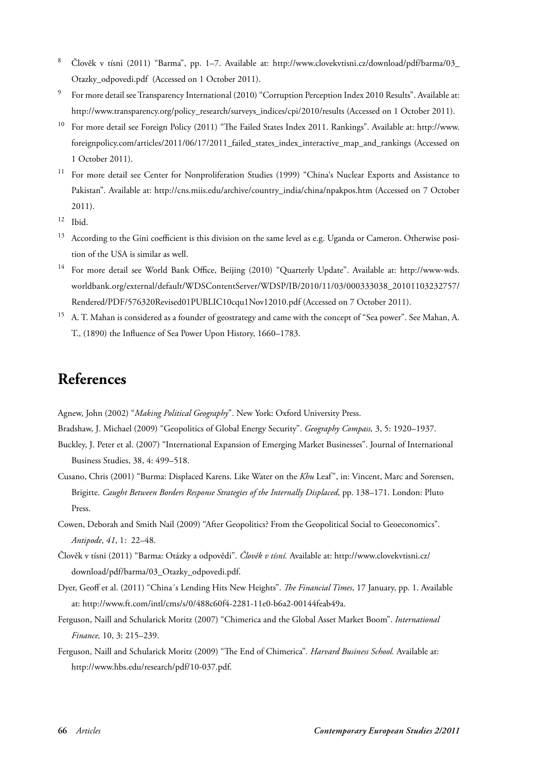- 8 Člověk v tísni (2011) "Barma", pp. 1–7. Available at: http://www.clovekvtisni.cz/download/pdf/barma/03\_ Otazky\_odpovedi.pdf (Accessed on 1 October 2011).
- 9 For more detail see Transparency International (2010) "Corruption Perception Index 2010 Results". Available at: http://www.transparency.org/policy\_research/surveys\_indices/cpi/2010/results (Accessed on 1 October 2011).
- <sup>10</sup> For more detail see Foreign Policy (2011) "The Failed States Index 2011. Rankings". Available at: http://www. foreignpolicy.com/articles/2011/06/17/2011\_failed\_states\_index\_interactive\_map\_and\_rankings (Accessed on 1 October 2011).
- For more detail see Center for Nonproliferation Studies (1999) "China's Nuclear Exports and Assistance to Pakistan". Available at: http://cns.miis.edu/archive/country\_india/china/npakpos.htm (Accessed on 7 October 2011).
- $12$  Ibid.
- <sup>13</sup> According to the Gini coefficient is this division on the same level as e.g. Uganda or Cameron. Otherwise position of the USA is similar as well.
- <sup>14</sup> For more detail see World Bank Office, Beijing (2010) "Quarterly Update". Available at: http://www-wds. worldbank.org/external/default/WDSContentServer/WDSP/IB/2010/11/03/000333038\_20101103232757/ Rendered/PDF/576320Revised01PUBLIC10cqu1Nov12010.pdf (Accessed on 7 October 2011).
- <sup>15</sup> A. T. Mahan is considered as a founder of geostrategy and came with the concept of "Sea power". See Mahan, A. T., (1890) the Influence of Sea Power Upon History, 1660–1783.

## **References**

Agnew, John (2002) "*Making Political Geography*". New York: Oxford University Press.

- Bradshaw, J. Michael (2009) "Geopolitics of Global Energy Security". *Geography Compass,* 3, 5: 1920–1937.
- Buckley, J. Peter et al. (2007) "International Expansion of Emerging Market Businesses". Journal of International Business Studies, 38, 4: 499–518.
- Cusano, Chris (2001) "Burma: Displaced Karens. Like Water on the *Khu* Leaf", in: Vincent, Marc and Sorensen, Brigitte. *Caught Between Borders Response Strategies of the Internally Displaced*, pp. 138–171. London: Pluto Press.
- Cowen, Deborah and Smith Nail (2009) "After Geopolitics? From the Geopolitical Social to Geoeconomics". *Antipode*, *41*, 1: 22–48.
- Člověk v tísni (2011) "Barma: Otázky a odpovědi". *Člověk v tísní.* Available at: http://www.clovekvtisni.cz/ download/pdf/barma/03\_Otazky\_odpovedi.pdf.
- Dyer, Geoff et al. (2011) "China's Lending Hits New Heights". *The Financial Times*, 17 January, pp. 1. Available at: http://www.ft.com/intl/cms/s/0/488c60f4-2281-11e0-b6a2-00144feab49a.
- Ferguson, Naill and Schularick Moritz (2007) "Chimerica and the Global Asset Market Boom". *International Finance,* 10, 3: 215–239.
- Ferguson, Naill and Schularick Moritz (2009) "The End of Chimerica". Harvard Business School. Available at: http://www.hbs.edu/research/pdf/10-037.pdf.